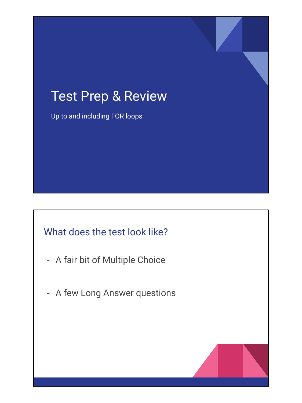# Test Prep & Review

Up to and including FOR loops

#### What does the test look like?

- A fair bit of Multiple Choice
- A few Long Answer questions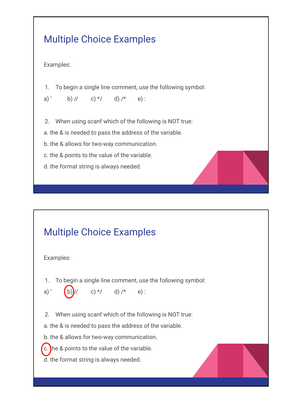# Multiple Choice Examples

Examples:

1. To begin a single line comment, use the following symbol:

a) ' b) // c) \*/ d) /\* e) :

2. When using scanf which of the following is NOT true:

a. the & is needed to pass the address of the variable.

b. the & allows for two-way communication.

c. the & points to the value of the variable.

d. the format string is always needed.

### Multiple Choice Examples

Examples:

1. To begin a single line comment, use the following symbol:

a) ' (b) // c) \*/ d) /\* e) :

2. When using scanf which of the following is NOT true:

a. the & is needed to pass the address of the variable.

b. the & allows for two-way communication.

 $\epsilon$ . the & points to the value of the variable.

d. the format string is always needed.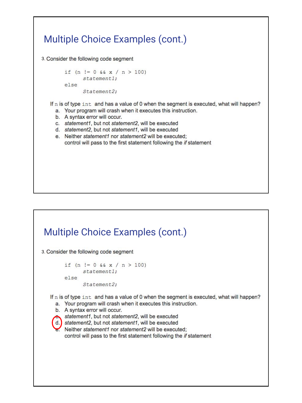# Multiple Choice Examples (cont.) 3. Consider the following code segment if  $(n != 0 & x & x / n > 100)$ statement1; else Statement2; If n is of type int and has a value of 0 when the segment is executed, what will happen? a. Your program will crash when it executes this instruction. b. A syntax error will occur. c. statement1, but not statement2, will be executed d. statement2, but not statement1, will be executed e. Neither statement1 nor statement2 will be executed; control will pass to the first statement following the if statement

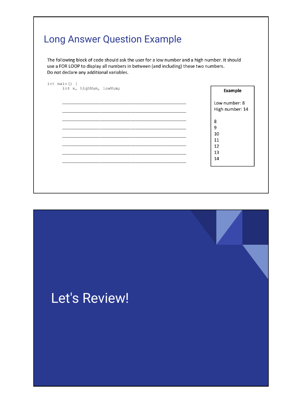# Long Answer Question Example

The following block of code should ask the user for a low number and a high number. It should use a FOR LOOP to display all numbers in between (and including) these two numbers. Do not declare any additional variables.

| int x, highNum, lowNum; | <b>Example</b>                   |
|-------------------------|----------------------------------|
|                         | Low number: 8<br>High number: 14 |
|                         | 8                                |
|                         | 9<br>10                          |
|                         | 11<br>12                         |
|                         | 13<br>14                         |
|                         |                                  |

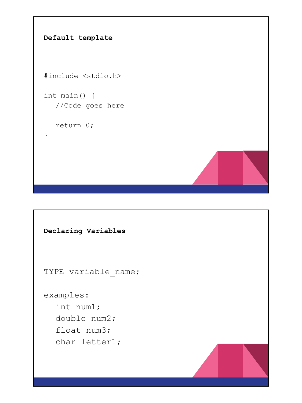```
Default template
#include <stdio.h>
int main() {
  //Code goes here
  return 0;
}
```

```
Declaring Variables
TYPE variable_name;
examples:
  int num1;
  double num2;
  float num3;
  char letter1;
```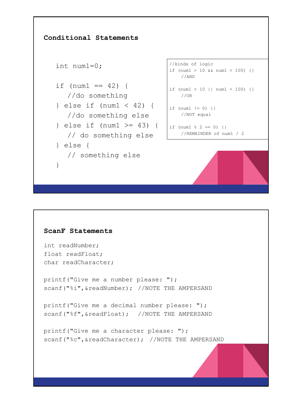```
Conditional Statements
   int num1=0;
   if (num1 == 42) {
      //do something
   } else if (num1 < 42) {
      //do something else
   } else if (num1 >= 43) {
      // do something else
   } else {
      // something else
   }
                                     //kinds of logic
                                     if (num1 > 10 && num1 < 100) {}
                                        //AND
                                     if (num1 > 10 || num1 < 100) {}
                                        //OR
                                     if (num1 != 0) {} 
                                       //NOT equal
                                    | if (num1 \frac{1}{6} 2 == 0) {}
                                       //REMAINDER of num1 / 2
```

```
ScanF Statements
int readNumber;
float readFloat;
char readCharacter;
printf("Give me a number please: ");
scanf("%i", &readNumber); //NOTE THE AMPERSAND
printf("Give me a decimal number please: ");
scanf("%f", &readFloat); //NOTE THE AMPERSAND
printf("Give me a character please: ");
scanf("%c", &readCharacter); //NOTE THE AMPERSAND
```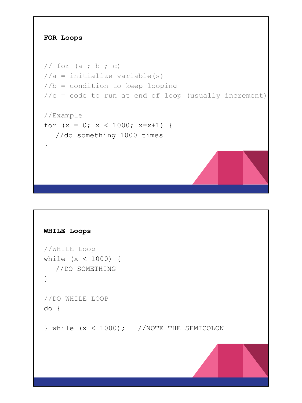

```
WHILE Loops
//WHILE Loop
while (x < 1000) {
  //DO SOMETHING
}
//DO WHILE LOOP
do {
} while (x < 1000); //NOTE THE SEMICOLON
```